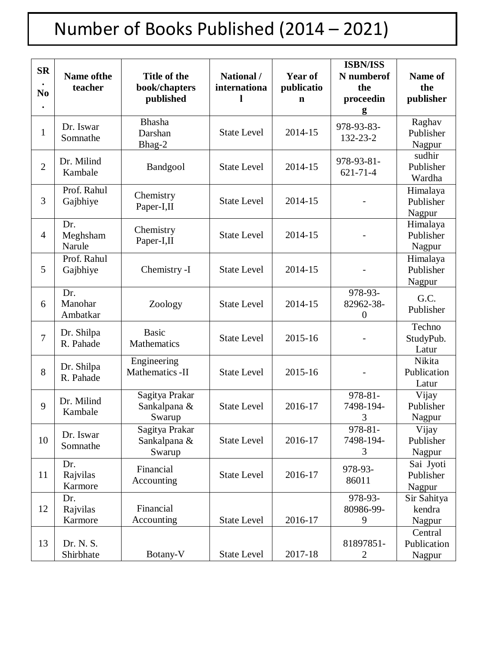## Number of Books Published (2014 – 2021)

| <b>SR</b><br>N <sub>0</sub> | <b>Name of the</b><br>teacher | Title of the<br>book/chapters<br>published | National /<br>internationa | <b>Year of</b><br>publicatio<br>$\mathbf n$ | <b>ISBN/ISS</b><br>N numberof<br>the<br>proceedin<br>g | Name of<br>the<br>publisher      |
|-----------------------------|-------------------------------|--------------------------------------------|----------------------------|---------------------------------------------|--------------------------------------------------------|----------------------------------|
| $\mathbf{1}$                | Dr. Iswar<br>Somnathe         | <b>Bhasha</b><br>Darshan<br>Bhag-2         | <b>State Level</b>         | 2014-15                                     | 978-93-83-<br>132-23-2                                 | Raghav<br>Publisher<br>Nagpur    |
| $\overline{2}$              | Dr. Milind<br>Kambale         | Bandgool                                   | <b>State Level</b>         | 2014-15                                     | 978-93-81-<br>$621 - 71 - 4$                           | sudhir<br>Publisher<br>Wardha    |
| 3                           | Prof. Rahul<br>Gajbhiye       | Chemistry<br>Paper-I,II                    | <b>State Level</b>         | 2014-15                                     | $\overline{\phantom{0}}$                               | Himalaya<br>Publisher<br>Nagpur  |
| $\overline{4}$              | Dr.<br>Meghsham<br>Narule     | Chemistry<br>Paper-I,II                    | <b>State Level</b>         | 2014-15                                     | -                                                      | Himalaya<br>Publisher<br>Nagpur  |
| 5                           | Prof. Rahul<br>Gajbhiye       | Chemistry -I                               | <b>State Level</b>         | 2014-15                                     | -                                                      | Himalaya<br>Publisher<br>Nagpur  |
| 6                           | Dr.<br>Manohar<br>Ambatkar    | Zoology                                    | <b>State Level</b>         | 2014-15                                     | 978-93-<br>82962-38-<br>$\theta$                       | G.C.<br>Publisher                |
| $\overline{7}$              | Dr. Shilpa<br>R. Pahade       | <b>Basic</b><br>Mathematics                | <b>State Level</b>         | 2015-16                                     |                                                        | Techno<br>StudyPub.<br>Latur     |
| 8                           | Dr. Shilpa<br>R. Pahade       | Engineering<br>Mathematics -II             | <b>State Level</b>         | 2015-16                                     |                                                        | Nikita<br>Publication<br>Latur   |
| 9                           | Dr. Milind<br>Kambale         | Sagitya Prakar<br>Sankalpana &<br>Swarup   | <b>State Level</b>         | 2016-17                                     | 978-81-<br>7498-194-<br>3                              | Vijay<br>Publisher<br>Nagpur     |
| 10                          | Dr. Iswar<br>Somnathe         | Sagitya Prakar<br>Sankalpana &<br>Swarup   | <b>State Level</b>         | 2016-17                                     | 978-81-<br>7498-194-<br>3                              | Vijay<br>Publisher<br>Nagpur     |
| 11                          | Dr.<br>Rajvilas<br>Karmore    | Financial<br>Accounting                    | <b>State Level</b>         | 2016-17                                     | 978-93-<br>86011                                       | Sai Jyoti<br>Publisher<br>Nagpur |
| 12                          | Dr.<br>Rajvilas<br>Karmore    | Financial<br>Accounting                    | <b>State Level</b>         | 2016-17                                     | 978-93-<br>80986-99-<br>9                              | Sir Sahitya<br>kendra<br>Nagpur  |
| 13                          | Dr. N. S.<br>Shirbhate        | Botany-V                                   | <b>State Level</b>         | 2017-18                                     | 81897851-<br>$\overline{c}$                            | Central<br>Publication<br>Nagpur |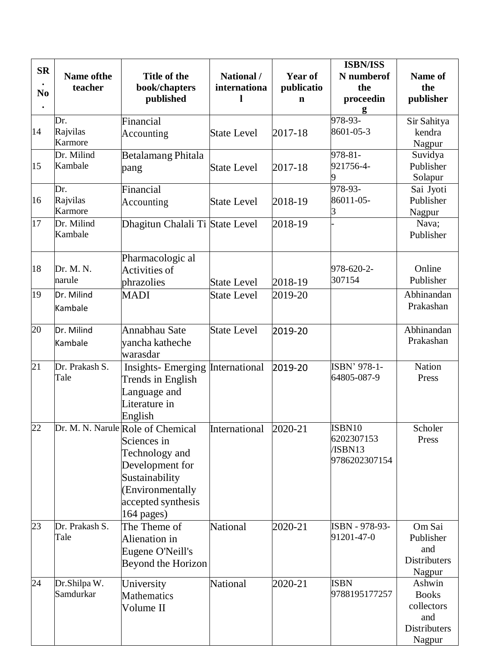| <b>SR</b><br>N <sub>0</sub> | Name of the<br>teacher     | Title of the<br>book/chapters<br>published                                                                                                                        | National /<br>internationa | Year of<br>publicatio<br>$\mathbf n$ | <b>ISBN/ISS</b><br>N numberof<br>the<br>proceedin | Name of<br>the<br>publisher                                           |
|-----------------------------|----------------------------|-------------------------------------------------------------------------------------------------------------------------------------------------------------------|----------------------------|--------------------------------------|---------------------------------------------------|-----------------------------------------------------------------------|
| 14                          | Dr.<br>Rajvilas<br>Karmore | Financial<br>Accounting                                                                                                                                           | <b>State Level</b>         | 2017-18                              | g<br>978-93-<br>8601-05-3                         | Sir Sahitya<br>kendra<br>Nagpur                                       |
| 15                          | Dr. Milind<br>Kambale      | Betalamang Phitala<br>pang                                                                                                                                        | <b>State Level</b>         | 2017-18                              | 978-81-<br>921756-4-<br>9                         | Suvidya<br>Publisher<br>Solapur                                       |
| 16                          | Dr.<br>Rajvilas<br>Karmore | Financial<br>Accounting                                                                                                                                           | <b>State Level</b>         | 2018-19                              | 978-93-<br>86011-05-<br>3                         | Sai Jyoti<br>Publisher<br>Nagpur                                      |
| 17                          | Dr. Milind<br>Kambale      | Dhagitun Chalali Ti State Level                                                                                                                                   |                            | 2018-19                              |                                                   | Nava;<br>Publisher                                                    |
| 18                          | Dr. M. N.<br>narule        | Pharmacologic al<br>Activities of<br>phrazolies                                                                                                                   | <b>State Level</b>         | 2018-19                              | 978-620-2-<br>307154                              | Online<br>Publisher                                                   |
| 19                          | Dr. Milind<br>Kambale      | <b>MADI</b>                                                                                                                                                       | <b>State Level</b>         | 2019-20                              |                                                   | Abhinandan<br>Prakashan                                               |
| 20                          | Dr. Milind<br>Kambale      | Annabhau Sate<br>yancha katheche<br>warasdar                                                                                                                      | <b>State Level</b>         | 2019-20                              |                                                   | Abhinandan<br>Prakashan                                               |
| 21                          | Dr. Prakash S.<br>Tale     | <b>Insights-Emerging International</b><br>Trends in English<br>Language and<br>Literature in<br>English                                                           |                            | 2019-20                              | ISBN' 978-1-<br>64805-087-9                       | Nation<br>Press                                                       |
| 22                          |                            | Dr. M. N. Narule Role of Chemical<br>Sciences in<br>Technology and<br>Development for<br>Sustainability<br>(Environmentally<br>accepted synthesis<br>$164$ pages) | International              | 2020-21                              | ISBN10<br>6202307153<br>/ISBN13<br>9786202307154  | Scholer<br>Press                                                      |
| 23                          | Dr. Prakash S.<br>Tale     | The Theme of<br>Alienation in<br>Eugene O'Neill's<br>Beyond the Horizon                                                                                           | <b>National</b>            | 2020-21                              | ISBN - 978-93-<br>91201-47-0                      | Om Sai<br>Publisher<br>and<br>Distributers<br>Nagpur                  |
| 24                          | Dr.Shilpa W.<br>Samdurkar  | University<br>Mathematics<br>Volume II                                                                                                                            | <b>National</b>            | 2020-21                              | <b>ISBN</b><br>9788195177257                      | Ashwin<br><b>Books</b><br>collectors<br>and<br>Distributers<br>Nagpur |